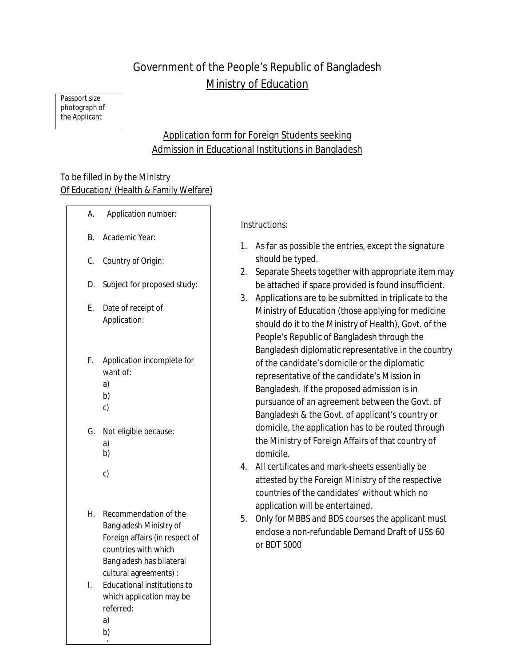# Government of the People's Republic of Bangladesh Ministry of Education

Passport size photograph of the Applicant

# Application form for Foreign Students seeking Admission in Educational Institutions in Bangladesh

### To be filled in by the Ministry Of Education/ (Health & Family Welfare)

- A. Application number: B. Academic Year: C. Country of Origin: D. Subject for proposed study: E. Date of receipt of Application: F. Application incomplete for want of: a) b) c) G. Not eligible because: a) b) c)
- H. Recommendation of the Bangladesh Ministry of Foreign affairs (in respect of countries with which Bangladesh has bilateral cultural agreements) :
- I. Educational institutions to which application may be referred: a)

## b)

 $\overline{\phantom{0}}$ 

Instructions:

- 1. As far as possible the entries, except the signature should be typed.
- 2. Separate Sheets together with appropriate item may be attached if space provided is found insufficient.
- 3. Applications are to be submitted in triplicate to the Ministry of Education (those applying for medicine should do it to the Ministry of Health), Govt. of the People's Republic of Bangladesh through the Bangladesh diplomatic representative in the country of the candidate's domicile or the diplomatic representative of the candidate's Mission in Bangladesh. If the proposed admission is in pursuance of an agreement between the Govt. of Bangladesh & the Govt. of applicant's country or domicile, the application has to be routed through the Ministry of Foreign Affairs of that country of domicile.
- 4. All certificates and mark-sheets essentially be attested by the Foreign Ministry of the respective countries of the candidates' without which no application will be entertained.
- 5. Only for MBBS and BDS courses the applicant must enclose a non-refundable Demand Draft of US\$ 60 or BDT 5000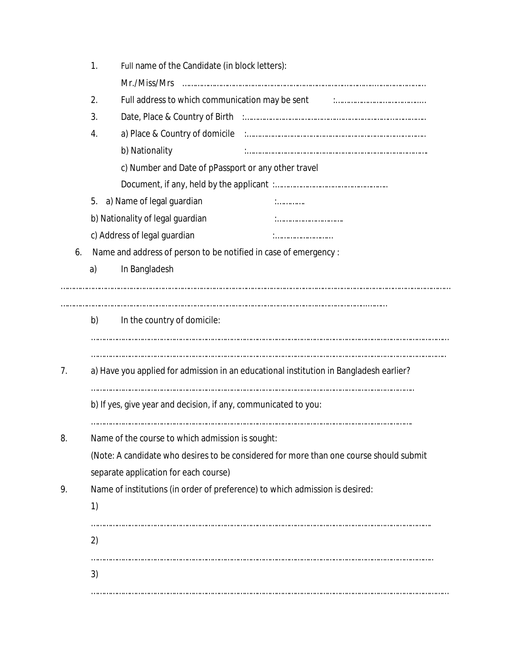|    | 1.                                                                                     | Full name of the Candidate (in block letters):                                                  |  |  |  |  |  |  |
|----|----------------------------------------------------------------------------------------|-------------------------------------------------------------------------------------------------|--|--|--|--|--|--|
|    |                                                                                        | Mr./Miss/Mrs                                                                                    |  |  |  |  |  |  |
|    | 2.                                                                                     | Full address to which communication may be sent Full address to which communication may be sent |  |  |  |  |  |  |
|    | 3.                                                                                     |                                                                                                 |  |  |  |  |  |  |
|    | 4.                                                                                     |                                                                                                 |  |  |  |  |  |  |
|    |                                                                                        | b) Nationality                                                                                  |  |  |  |  |  |  |
|    |                                                                                        | c) Number and Date of pPassport or any other travel                                             |  |  |  |  |  |  |
|    |                                                                                        |                                                                                                 |  |  |  |  |  |  |
|    | a) Name of legal guardian<br>5.<br>.<br>b) Nationality of legal guardian               |                                                                                                 |  |  |  |  |  |  |
|    |                                                                                        |                                                                                                 |  |  |  |  |  |  |
|    | c) Address of legal guardian                                                           |                                                                                                 |  |  |  |  |  |  |
| 6. |                                                                                        | Name and address of person to be notified in case of emergency :                                |  |  |  |  |  |  |
|    | a)                                                                                     | In Bangladesh                                                                                   |  |  |  |  |  |  |
|    | b)                                                                                     | In the country of domicile:                                                                     |  |  |  |  |  |  |
|    |                                                                                        |                                                                                                 |  |  |  |  |  |  |
| 7. | a) Have you applied for admission in an educational institution in Bangladesh earlier? |                                                                                                 |  |  |  |  |  |  |
|    |                                                                                        |                                                                                                 |  |  |  |  |  |  |
|    | b) If yes, give year and decision, if any, communicated to you:                        |                                                                                                 |  |  |  |  |  |  |
| 8. | Name of the course to which admission is sought:                                       |                                                                                                 |  |  |  |  |  |  |
|    | (Note: A candidate who desires to be considered for more than one course should submit |                                                                                                 |  |  |  |  |  |  |
|    |                                                                                        | separate application for each course)                                                           |  |  |  |  |  |  |
| 9. | Name of institutions (in order of preference) to which admission is desired:           |                                                                                                 |  |  |  |  |  |  |
|    | 1)                                                                                     |                                                                                                 |  |  |  |  |  |  |
|    | 2)                                                                                     |                                                                                                 |  |  |  |  |  |  |
|    | 3)                                                                                     |                                                                                                 |  |  |  |  |  |  |
|    |                                                                                        |                                                                                                 |  |  |  |  |  |  |